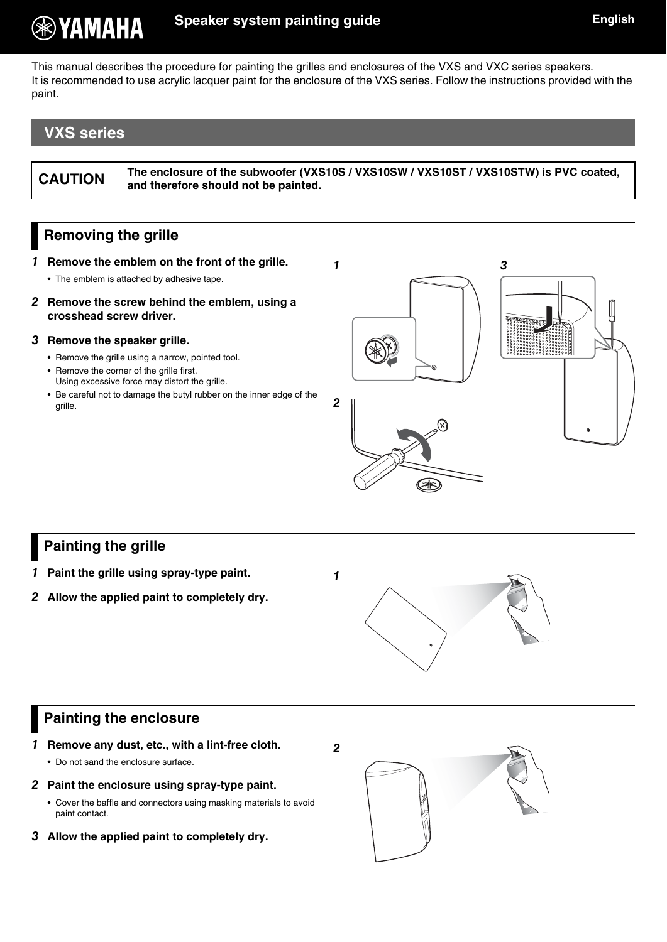## **Speaker system painting guide English English**

This manual describes the procedure for painting the grilles and enclosures of the VXS and VXC series speakers. It is recommended to use acrylic lacquer paint for the enclosure of the VXS series. Follow the instructions provided with the paint.

**1**

# **VXS series**

**® YAMAHA** 

**CAUTION The enclosure of the subwoofer (VXS10S / VXS10SW / VXS10ST / VXS10STW) is PVC coated, and therefore should not be painted.**

### <span id="page-0-0"></span>**Removing the grille**

- **1 Remove the emblem on the front of the grille.**
	- The emblem is attached by adhesive tape.
- **2 Remove the screw behind the emblem, using a crosshead screw driver.**
- **3 Remove the speaker grille.**
	- Remove the grille using a narrow, pointed tool.
	- Remove the corner of the grille first. Using excessive force may distort the grille.
	- Be careful not to damage the butyl rubber on the inner edge of the grille.



### **Painting the grille**

- **1 Paint the grille using spray-type paint.**
- **2 Allow the applied paint to completely dry.**



### **Painting the enclosure**

- **1 Remove any dust, etc., with a lint-free cloth.**
	- Do not sand the enclosure surface.
- **2 Paint the enclosure using spray-type paint.**
	- Cover the baffle and connectors using masking materials to avoid paint contact.
- **3 Allow the applied paint to completely dry.**